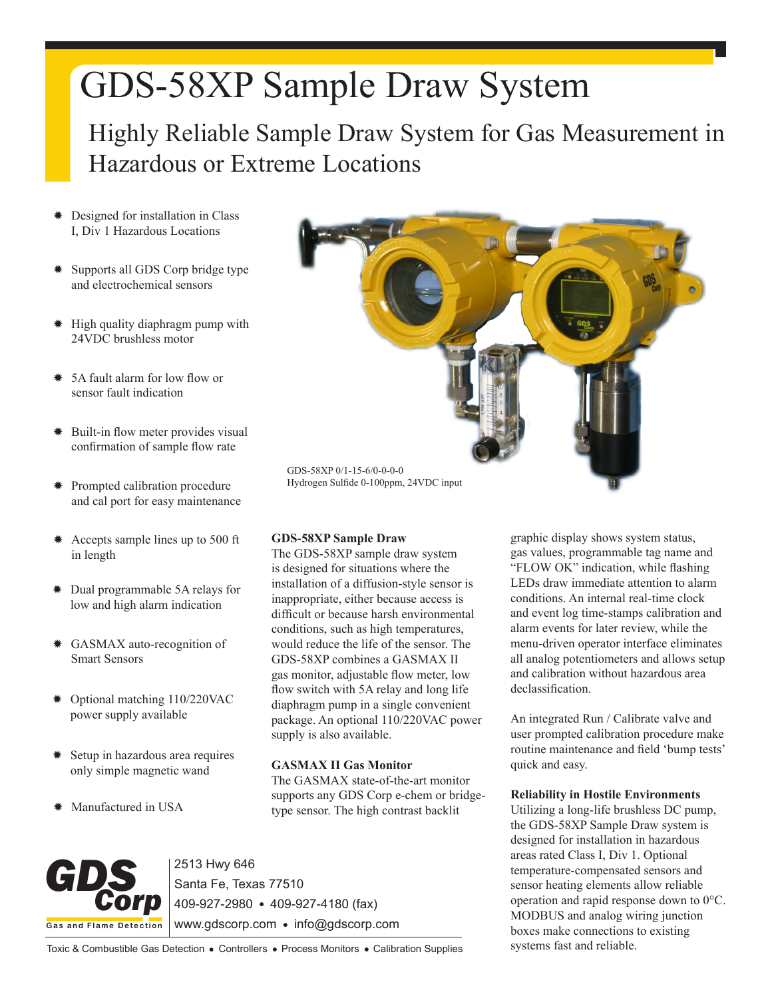# GDS-58XP Sample Draw System

Highly Reliable Sample Draw System for Gas Measurement in Hazardous or Extreme Locations

- Designed for installation in Class I, Div 1 Hazardous Locations
- Supports all GDS Corp bridge type and electrochemical sensors
- ✹ High quality diaphragm pump with 24VDC brushless motor
- ✹ 5A fault alarm for low flow or sensor fault indication
- ✹ Built-in flow meter provides visual confirmation of sample flow rate
- ✹ Prompted calibration procedure and cal port for easy maintenance
- ✹ Accepts sample lines up to 500 ft in length
- ✹ Dual programmable 5A relays for low and high alarm indication
- ✹ GASMAX auto-recognition of Smart Sensors
- ✹ Optional matching 110/220VAC power supply available
- Setup in hazardous area requires only simple magnetic wand
- ✹ Manufactured in USA



## **GDS-58XP Sample Draw**

The GDS-58XP sample draw system is designed for situations where the installation of a diffusion-style sensor is inappropriate, either because access is difficult or because harsh environmental conditions, such as high temperatures, would reduce the life of the sensor. The GDS-58XP combines a GASMAX II gas monitor, adjustable flow meter, low flow switch with 5A relay and long life diaphragm pump in a single convenient package. An optional 110/220VAC power supply is also available.

## **GASMAX II Gas Monitor**

The GASMAX state-of-the-art monitor supports any GDS Corp e-chem or bridgetype sensor. The high contrast backlit

**Gas a nd Flame Detection** GDS<sub>corp</sub>

2513 Hwy 646 Santa Fe, Texas 77510 409-927-2980 409-927-4180 (fax) www.gdscorp.com • info@gdscorp.com

graphic display shows system status, gas values, programmable tag name and "FLOW OK" indication, while flashing LEDs draw immediate attention to alarm conditions. An internal real-time clock and event log time-stamps calibration and alarm events for later review, while the menu-driven operator interface eliminates all analog potentiometers and allows setup and calibration without hazardous area declassification.

An integrated Run / Calibrate valve and user prompted calibration procedure make routine maintenance and field 'bump tests' quick and easy.

#### **Reliability in Hostile Environments**

Utilizing a long-life brushless DC pump, the GDS-58XP Sample Draw system is designed for installation in hazardous areas rated Class I, Div 1. Optional temperature-compensated sensors and sensor heating elements allow reliable operation and rapid response down to 0°C. MODBUS and analog wiring junction boxes make connections to existing systems fast and reliable.